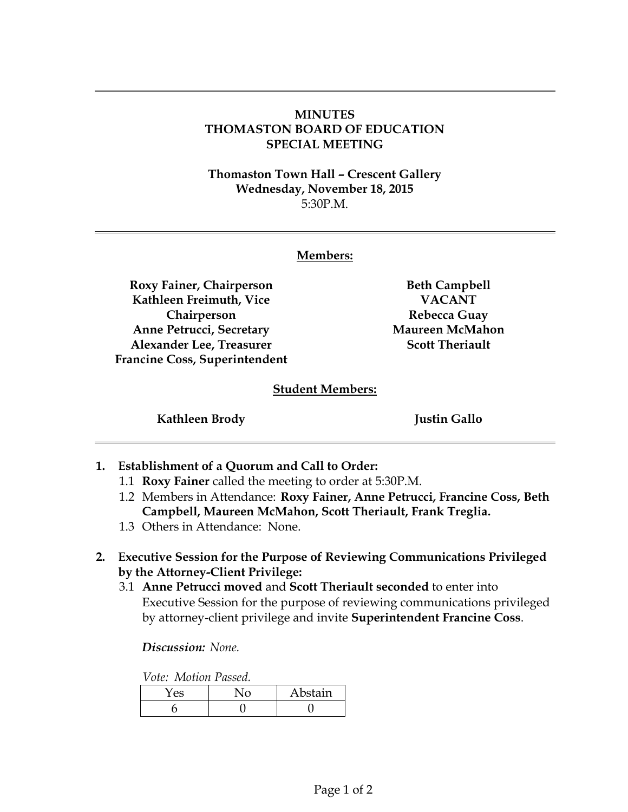## **MINUTES THOMASTON BOARD OF EDUCATION SPECIAL MEETING**

**Thomaston Town Hall – Crescent Gallery Wednesday, November 18, 2015** 5:30P.M.

## **Members:**

**Roxy Fainer, Chairperson Kathleen Freimuth, Vice Chairperson Anne Petrucci, Secretary Alexander Lee, Treasurer Francine Coss, Superintendent** 

**Beth Campbell VACANT Rebecca Guay Maureen McMahon Scott Theriault**

## **Student Members:**

**Kathleen Brody Justin Gallo**

- **1. Establishment of a Quorum and Call to Order:** 
	- 1.1 **Roxy Fainer** called the meeting to order at 5:30P.M.
	- 1.2 Members in Attendance: **Roxy Fainer, Anne Petrucci, Francine Coss, Beth Campbell, Maureen McMahon, Scott Theriault, Frank Treglia.**
	- 1.3 Others in Attendance: None.
- **2. Executive Session for the Purpose of Reviewing Communications Privileged by the Attorney-Client Privilege:**
	- 3.1 **Anne Petrucci moved** and **Scott Theriault seconded** to enter into Executive Session for the purpose of reviewing communications privileged by attorney-client privilege and invite **Superintendent Francine Coss**.

*Discussion: None.*

*Vote: Motion Passed.*

|  | Abstain |
|--|---------|
|  |         |